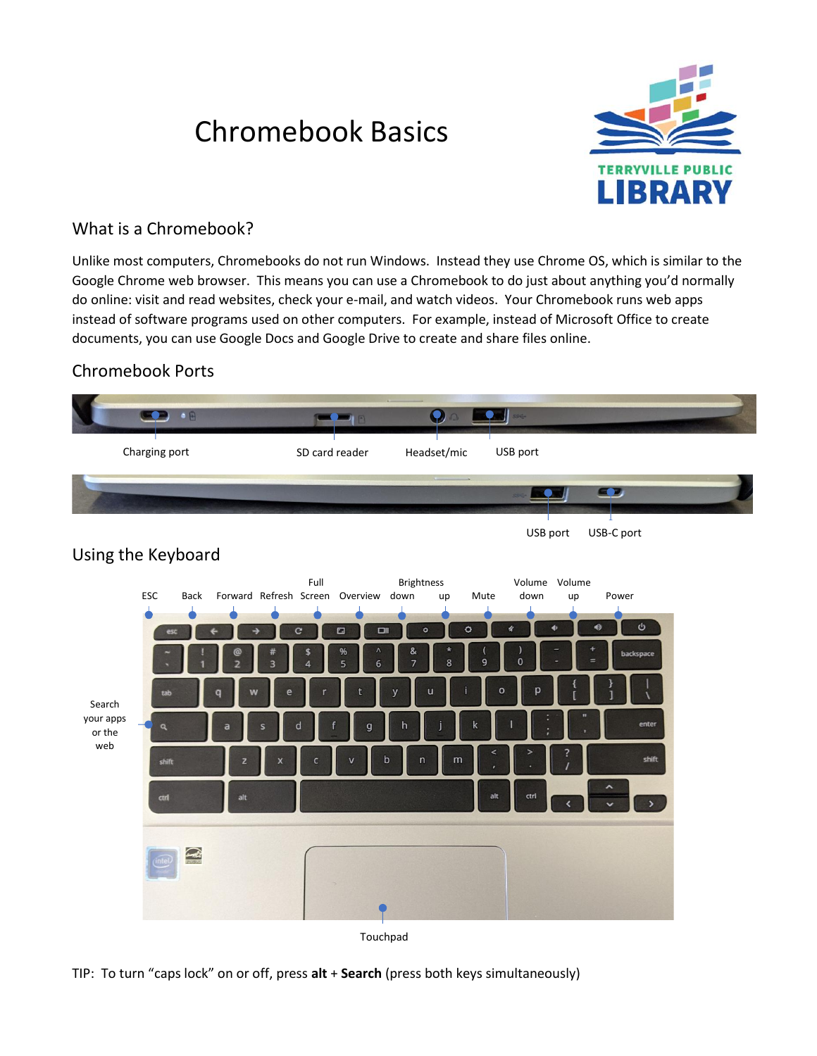# Chromebook Basics



# What is a Chromebook?

Unlike most computers, Chromebooks do not run Windows. Instead they use Chrome OS, which is similar to the Google Chrome web browser. This means you can use a Chromebook to do just about anything you'd normally do online: visit and read websites, check your e-mail, and watch videos. Your Chromebook runs web apps instead of software programs used on other computers. For example, instead of Microsoft Office to create documents, you can use Google Docs and Google Drive to create and share files online.

# Chromebook Ports



TIP: To turn "caps lock" on or off, press **alt** + **Search** (press both keys simultaneously)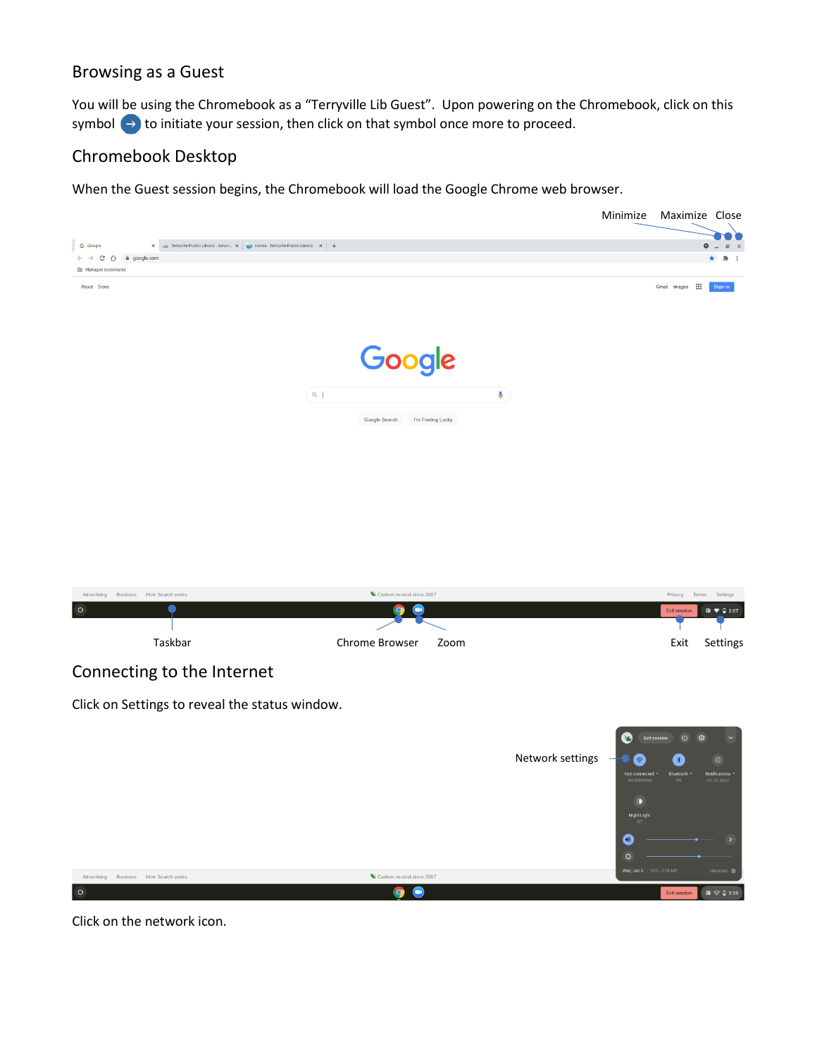### Browsing as a Guest

You will be using the Chromebook as a "Terryville Lib Guest". Upon powering on the Chromebook, click on this symbol  $\leftrightarrow$  to initiate your session, then click on that symbol once more to proceed.

# Chromebook Desktop

When the Guest session begins, the Chromebook will load the Google Chrome web browser.



 $\ddot{\circ}$ 

Advertising Business How Search works Carbon ne  $\circ$  $\bullet$ 

Click on the network icon.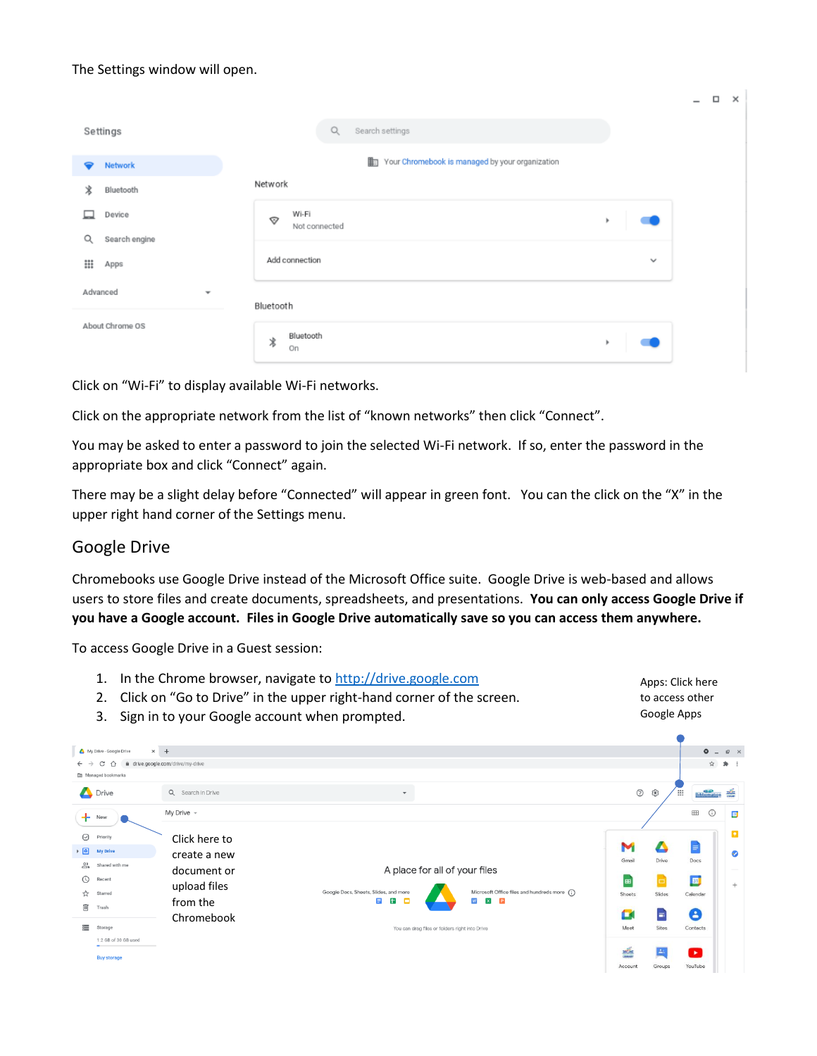#### The Settings window will open.

|                                      |                                                 |              | $-$<br>$\Box$ $\times$ |
|--------------------------------------|-------------------------------------------------|--------------|------------------------|
| Settings                             | $\mathsf{Q}$<br>Search settings                 |              |                        |
| Network<br>◒                         | Your Chromebook is managed by your organization |              |                        |
| ∦<br>Bluetooth                       | Network                                         |              |                        |
| Device<br>Search engine<br>Q         | Wi-Fi<br>$\heartsuit$<br>Not connected          | ٠            |                        |
| ₩<br>Apps                            | Add connection                                  | $\checkmark$ |                        |
| Advanced<br>$\overline{\phantom{a}}$ | Bluetooth                                       |              |                        |
| About Chrome OS                      | Bluetooth<br>∦<br>On                            | ×.           |                        |

Click on "Wi-Fi" to display available Wi-Fi networks.

Click on the appropriate network from the list of "known networks" then click "Connect".

You may be asked to enter a password to join the selected Wi-Fi network. If so, enter the password in the appropriate box and click "Connect" again.

There may be a slight delay before "Connected" will appear in green font. You can the click on the "X" in the upper right hand corner of the Settings menu.

### Google Drive

Chromebooks use Google Drive instead of the Microsoft Office suite. Google Drive is web-based and allows users to store files and create documents, spreadsheets, and presentations. **You can only access Google Drive if you have a Google account. Files in Google Drive automatically save so you can access them anywhere.**

To access Google Drive in a Guest session:

1. In the Chrome browser, navigate to [http://drive.google.com](http://drive.google.com/) Apps: Click here 2. Click on "Go to Drive" in the upper right-hand corner of the screen. to access other Google Apps 3. Sign in to your Google account when prompted. My Drive - Google Drive  $\times$  +  $\bullet$   $\_$   $\_$   $\_$   $\times$  $\leftarrow$   $\rightarrow$  C'  $\hat{\Omega}$  a drive.google.com/drive/my-dri s, **En** Managed bookmarks Drive Q Search in Drive  $\circledcirc$  $\frac{\sum_{i=1}^{n}a_{i}}{\sum_{i=1}^{n}a_{i}}$ ₩ **Bibliomation** My Drive  $\sim$  $\blacksquare$  $\odot$  $\overline{\mathbf{E}}$  $+$  New  $\overline{\mathbf{Q}}$  $\odot$  Priority Click here to M Δ E  $\triangleright$   $\boxed{\triangle}$  My Drive  $\bullet$ create a new Drive Docs  $\sum_{k=1}^{n}$  Shared with me A place for all of your files document or  $\bigodot$  Recent  $\boxed{31}$ Е upload files  $\overleftrightarrow{\mathbf{k}}^{\mathbf{k}} \hspace{5mm} \text{Starred}$ Google Docs, Sheets, Slides, and more osoft Office files and hundreds more (1) Calenda **BBB** from the  $\mathbf W$  $X$   $P$  $\overline{\mathbf{m}}$  Trash  $\bullet$ G Е ChromebookStorage You can drag files or folders right into Drive Meet Sites Contacts 1.2 GB of 30 GB used 盛 马  $\bullet$ **Buy storage** YouTube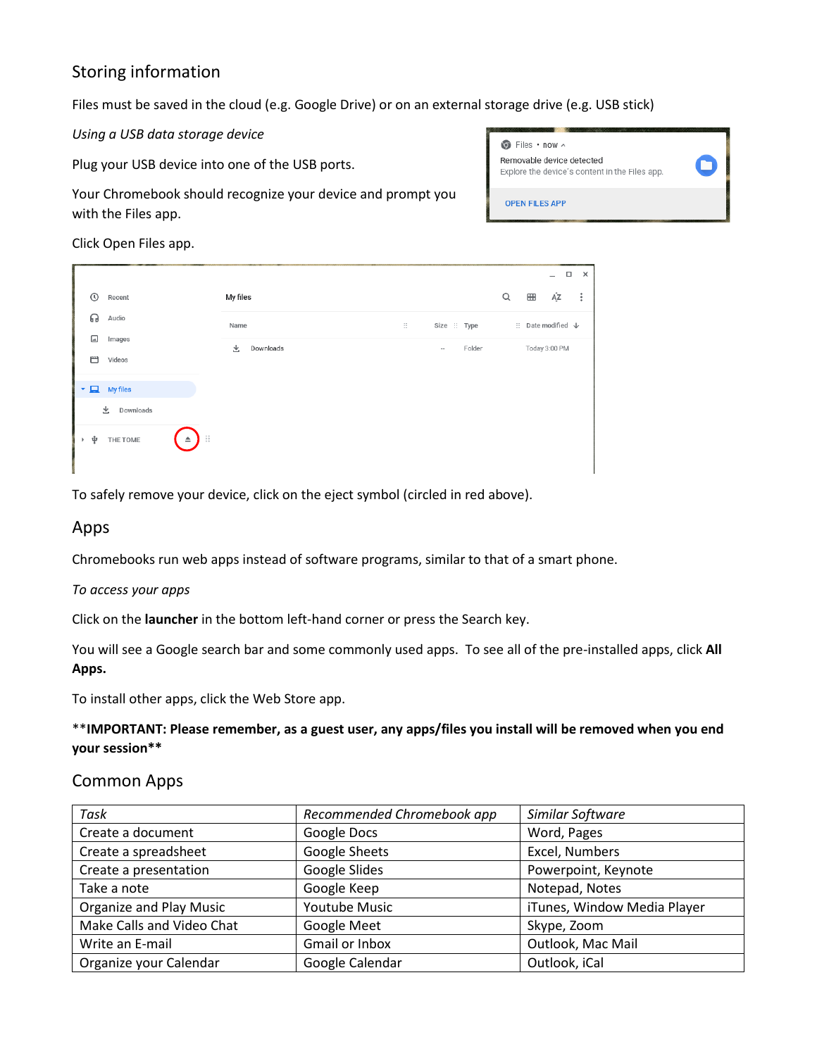# Storing information

Files must be saved in the cloud (e.g. Google Drive) or on an external storage drive (e.g. USB stick)

*Using a USB data storage device*

Plug your USB device into one of the USB ports.

Your Chromebook should recognize your device and prompt you with the Files app.

 $\odot$  Files  $\cdot$  now  $\sim$ Removable device detected Explore the device's content in the Files app. **OPEN FILES APP** 

Click Open Files app.

|                                       |                                    |                |              |                          |              |   |   | п                             | $\mathsf{x}$   |
|---------------------------------------|------------------------------------|----------------|--------------|--------------------------|--------------|---|---|-------------------------------|----------------|
| $\odot$<br>Recent                     |                                    | My files       |              |                          |              | Q | ⊞ | ĄŹ                            | $\ddot{\cdot}$ |
| ଋ<br>Audio                            |                                    | Name           | $\mathbb{H}$ |                          | Size :: Type |   |   | $\vdots$ Date modified $\psi$ |                |
| ⊡<br>Images<br>Ш<br>Videos            |                                    | 业<br>Downloads |              | $\overline{\phantom{a}}$ | Folder       |   |   | Today 3:00 PM                 |                |
|                                       |                                    |                |              |                          |              |   |   |                               |                |
| $\blacktriangleright$ $\Box$ My files |                                    |                |              |                          |              |   |   |                               |                |
| Downloads<br>圡                        |                                    |                |              |                          |              |   |   |                               |                |
| ψ<br>THE TOME                         | $\ddot{\ddot{\ }z}$<br>$\triangle$ |                |              |                          |              |   |   |                               |                |

To safely remove your device, click on the eject symbol (circled in red above).

### Apps

Chromebooks run web apps instead of software programs, similar to that of a smart phone.

### *To access your apps*

Click on the **launcher** in the bottom left-hand corner or press the Search key.

You will see a Google search bar and some commonly used apps. To see all of the pre-installed apps, click **All Apps.**

To install other apps, click the Web Store app.

### \*\***IMPORTANT: Please remember, as a guest user, any apps/files you install will be removed when you end your session\*\***

### Common Apps

| Task                      | Recommended Chromebook app | Similar Software            |
|---------------------------|----------------------------|-----------------------------|
| Create a document         | Google Docs                | Word, Pages                 |
| Create a spreadsheet      | Google Sheets              | Excel, Numbers              |
| Create a presentation     | Google Slides              | Powerpoint, Keynote         |
| Take a note               | Google Keep                | Notepad, Notes              |
| Organize and Play Music   | Youtube Music              | iTunes, Window Media Player |
| Make Calls and Video Chat | Google Meet                | Skype, Zoom                 |
| Write an E-mail           | <b>Gmail or Inbox</b>      | Outlook, Mac Mail           |
| Organize your Calendar    | Google Calendar            | Outlook, iCal               |